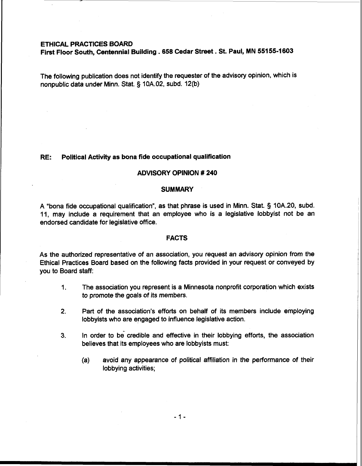# **ETHICAL PRACTICES BOARD**

**First Floor South, Centennial Building .658 Cedar Street** . **St. Paul, MN 55155-1 603** 

The following publication does not identify the requester of the advisory opinion, which is nonpublic data under Minn. Stat. § 10A.02, subd. 12(b)

### **RE: Political Activity as bona fide occupational qualification**

### **ADVISORY OPINION** # **240**

### **SUMMARY**

A "bona fide occupational qualification", as that phrase is used in Minn. Stat. § 10A.20, subd. 11, may include a requirement that an employee who is a legislative lobbyist not be an endorsed candidate for legislative office.

### **FACTS**

As the authorized representative of an association, you request an advisory opinion from the Ethical Practices Board based on the following facts provided in your request or conveyed by you to Board staff:

- 1. The association you represent is a Minnesota nonprofit corporation which exists to promote the goals of its members.
- **2.** Part of the association's efforts on behalf of its members include employing lobbyists who are engaged to influence legislative action.
- **3.** In order to be credible and effective in their lobbying efforts, the association believes that its employees who are lobbyists must:
	- (a) avoid any appearance of political affiliation in the performance of their lobbying activities;

 $-1-$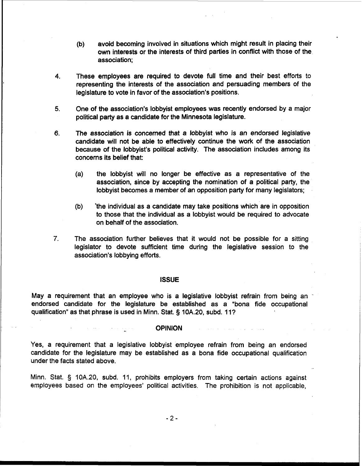- (b) avoid becoming involved in situations which might result in placing their own interests or the interests of third parties in conflict with those of the association;
- **4.** These employees are required to devote full time and their best efforts to representing the interests of the association and persuading members of the legislature to vote in favor of the association's positions.
- **5.** One of the association's lobbyist employees was recently endorsed by a major political party as a candidate for the Minnesota legislature.
- **6.** The association is concerned that a lobbyist who is an endorsed legislative candidate will not be able to effectively continue the work of the association because of the lobbyist's political activity. The association includes among its concerns its belief that:
	- (a) the lobbyist will no longer be effective as a representative of the association, since by accepting the nomination of a political party, the lobbyist becomes a member of an opposition party for many legislators;
	- (b) 'the individual as a candidate may take positions which are in opposition to those that the individual as a lobbyist would be required to advocate on behalf of the association.
- **7.** The association further believes that it would not be possible for a sitting legislator to devote sufficient time during the legislative session to the association's lobbying efforts.

#### **ISSUE**

May a requirement that an employee who is a legislative lobbyist refrain from being an endorsed candidate for the legislature be established as a "bona fide occupational qualification" as that phrase is used in Minn. Stat. § 10A.20, subd. 11?

### **COPINION**

Yes, a requirement that a legislative lobbyist employee refrain from being an endorsed candidate for the legislature may be established as a bona fide occupational qualification under the facts stated above.

Minn. Stat. § 10A.20, subd. 11, prohibits employers from taking certain actions against employees based on the employees' political activities. The prohibition is not applicable,

 $-2-$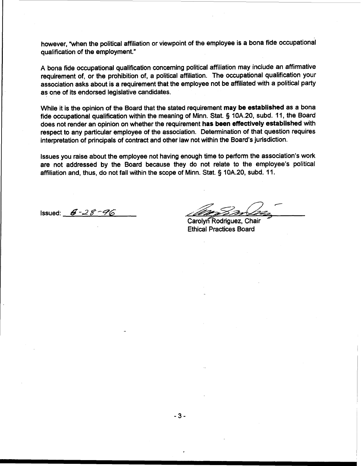however, "when the political affiliation or viewpoint of the employee is a bona fide occupational qualification of the employment."

A bona fide occupational qualification concerning political affiliation may include an affirmative requirement of, or the prohibition of, a political affiliation. The occupational qualification your association asks about is a requirement that the employee not be affiliated with a political party as one of its endorsed legislative candidates.

While it is the opinion of the Board that the stated requirement may be established as a bona fide occupational qualification within the meaning of Minn. Stat. § 10A.20, subd. 11, the Board does not render an opinion on whether the requirement has been effectively established with respect to any particular employee of the association. Determination of that question requires interpretation of principals of contract and other law not within the Board's jurisdiction.

Issues you raise about the employee not having enough time to perform the association's work are not addressed by the Board because they do not relate to the employee's political affiliation and, thus, do not fall within the scope of Minn. Stat. § 10A.20, subd. 11.

Issued: **r\$ -2 8** *-9'* 

Carolyn Rodriguez, Chair Ethical Practices Board